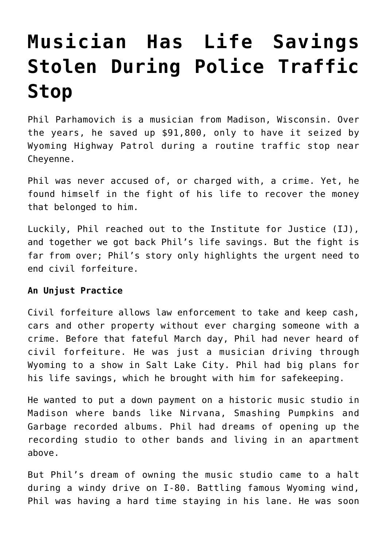## **[Musician Has Life Savings](https://intellectualtakeout.org/2017/12/musician-has-life-savings-stolen-during-police-traffic-stop/) [Stolen During Police Traffic](https://intellectualtakeout.org/2017/12/musician-has-life-savings-stolen-during-police-traffic-stop/) [Stop](https://intellectualtakeout.org/2017/12/musician-has-life-savings-stolen-during-police-traffic-stop/)**

Phil Parhamovich is a musician from Madison, Wisconsin. Over the years, he saved up \$91,800, only to have it seized by Wyoming Highway Patrol during a routine traffic stop near Cheyenne.

Phil was never accused of, or charged with, a crime. Yet, he found himself in the fight of his life to recover the money that belonged to him.

Luckily, Phil reached out to the Institute for Justice (IJ), and together we got back Phil's life savings. But the fight is far from over; Phil's story only highlights the urgent need to end civil forfeiture.

## **An Unjust Practice**

Civil forfeiture allows law enforcement to take and keep cash, cars and other property without ever charging someone with a crime. Before that fateful March day, Phil had never heard of civil forfeiture. He was just a musician driving through Wyoming to a show in Salt Lake City. Phil had big plans for his life savings, which he brought with him for safekeeping.

He wanted to put a down payment on a historic music studio in Madison where bands like Nirvana, Smashing Pumpkins and Garbage recorded albums. Phil had dreams of opening up the recording studio to other bands and living in an apartment above.

But Phil's dream of owning the music studio came to a halt during a windy drive on I-80. Battling famous Wyoming wind, Phil was having a hard time staying in his lane. He was soon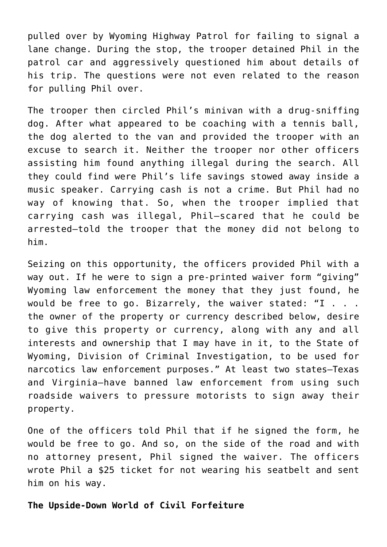pulled over by Wyoming Highway Patrol for failing to signal a lane change. During the stop, the trooper detained Phil in the patrol car and aggressively questioned him about details of his trip. The questions were not even related to the reason for pulling Phil over.

The trooper then circled Phil's minivan with a drug-sniffing dog. After what appeared to be coaching with a tennis ball, the dog alerted to the van and provided the trooper with an excuse to search it. Neither the trooper nor other officers assisting him found anything illegal during the search. All they could find were Phil's life savings stowed away inside a music speaker. Carrying cash is not a crime. But Phil had no way of knowing that. So, when the trooper implied that carrying cash was illegal, Phil—scared that he could be arrested—told the trooper that the money did not belong to him.

Seizing on this opportunity, the officers provided Phil with a way out. If he were to sign a pre-printed waiver form "giving" Wyoming law enforcement the money that they just found, he would be free to go. Bizarrely, the waiver stated: "I . . . the owner of the property or currency described below, desire to give this property or currency, along with any and all interests and ownership that I may have in it, to the State of Wyoming, Division of Criminal Investigation, to be used for narcotics law enforcement purposes." At least two states—Texas and Virginia—have banned law enforcement from using such roadside waivers to pressure motorists to sign away their property.

One of the officers told Phil that if he signed the form, he would be free to go. And so, on the side of the road and with no attorney present, Phil signed the waiver. The officers wrote Phil a \$25 ticket for not wearing his seatbelt and sent him on his way.

## **The Upside-Down World of Civil Forfeiture**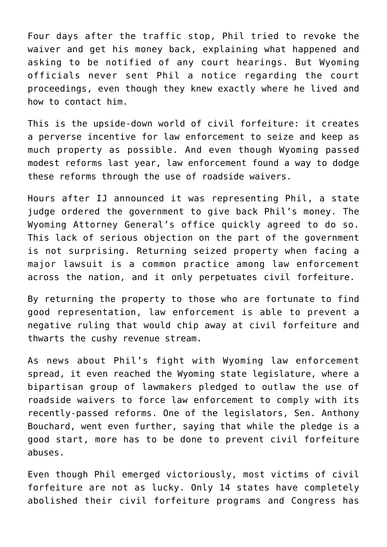Four days after the traffic stop, Phil tried to revoke the waiver and get his money back, explaining what happened and asking to be notified of any court hearings. But Wyoming officials never sent Phil a notice regarding the court proceedings, even though they knew exactly where he lived and how to contact him.

This is the upside-down world of civil forfeiture: it creates a perverse incentive for law enforcement to seize and keep as much property as possible. And even though Wyoming passed modest reforms last year, law enforcement found a way to dodge these reforms through the use of roadside waivers.

Hours after IJ announced it was representing Phil, a state judge ordered the government to give back Phil's money. The Wyoming Attorney General's office quickly agreed to do so. This lack of serious objection on the part of the government is not surprising. Returning seized property when facing a major lawsuit is a common practice among law enforcement across the nation, and it only perpetuates civil forfeiture.

By returning the property to those who are fortunate to find good representation, law enforcement is able to prevent a negative ruling that would chip away at civil forfeiture and thwarts the cushy revenue stream.

As news about Phil's fight with Wyoming law enforcement spread, it even reached the Wyoming state legislature, where a bipartisan group of lawmakers pledged to outlaw the use of roadside waivers to force law enforcement to comply with its recently-passed reforms. One of the legislators, Sen. Anthony Bouchard, went even further, saying that while the pledge is a good start, more has to be done to prevent civil forfeiture abuses.

Even though Phil emerged victoriously, most victims of civil forfeiture are not as lucky. Only 14 states have completely abolished their civil forfeiture programs and Congress has